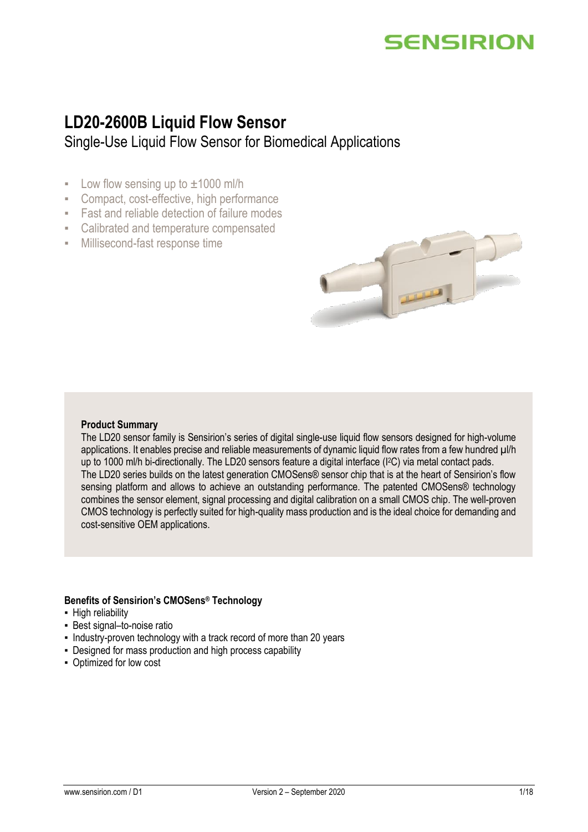### **LD20-2600B Liquid Flow Sensor**

Single-Use Liquid Flow Sensor for Biomedical Applications

- $\blacksquare$  Low flow sensing up to  $\pm 1000$  ml/h
- Compact, cost-effective, high performance
- Fast and reliable detection of failure modes
- Calibrated and temperature compensated
- Millisecond-fast response time



#### **Product Summary**

The LD20 sensor family is Sensirion's series of digital single-use liquid flow sensors designed for high-volume applications. It enables precise and reliable measurements of dynamic liquid flow rates from a few hundred  $\mu$ l/h up to 1000 ml/h bi-directionally. The LD20 sensors feature a digital interface (I<sup>2</sup>C) via metal contact pads. The LD20 series builds on the latest generation CMOSens® sensor chip that is at the heart of Sensirion's flow sensing platform and allows to achieve an outstanding performance. The patented CMOSens® technology combines the sensor element, signal processing and digital calibration on a small CMOS chip. The well-proven CMOS technology is perfectly suited for high-quality mass production and is the ideal choice for demanding and cost-sensitive OEM applications.

#### **Benefits of Sensirion's CMOSens® Technology**

- High reliability
- Best signal–to-noise ratio
- Industry-proven technology with a track record of more than 20 years
- Designed for mass production and high process capability
- Optimized for low cost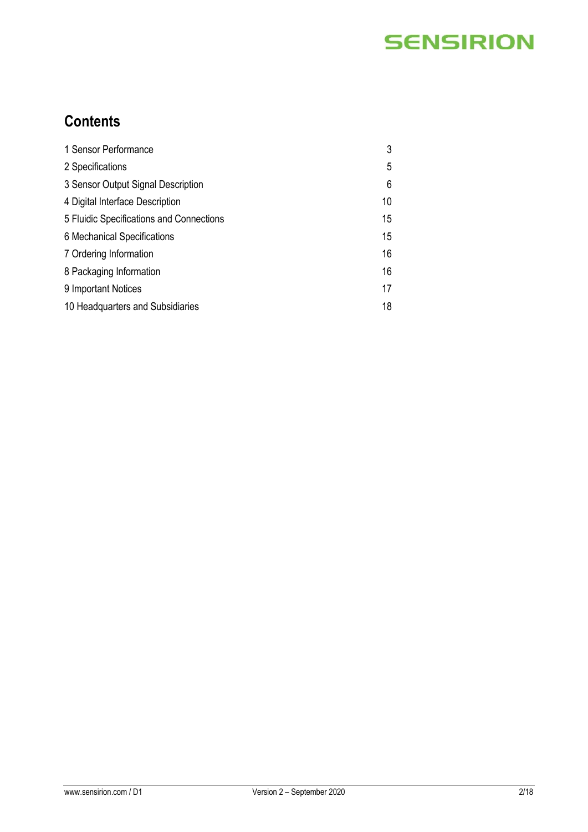### **Contents**

| 1 Sensor Performance                     | 3  |
|------------------------------------------|----|
| 2 Specifications                         | 5  |
| 3 Sensor Output Signal Description       | 6  |
| 4 Digital Interface Description          | 10 |
| 5 Fluidic Specifications and Connections | 15 |
| 6 Mechanical Specifications              | 15 |
| 7 Ordering Information                   | 16 |
| 8 Packaging Information                  | 16 |
| 9 Important Notices                      | 17 |
| 10 Headquarters and Subsidiaries         | 18 |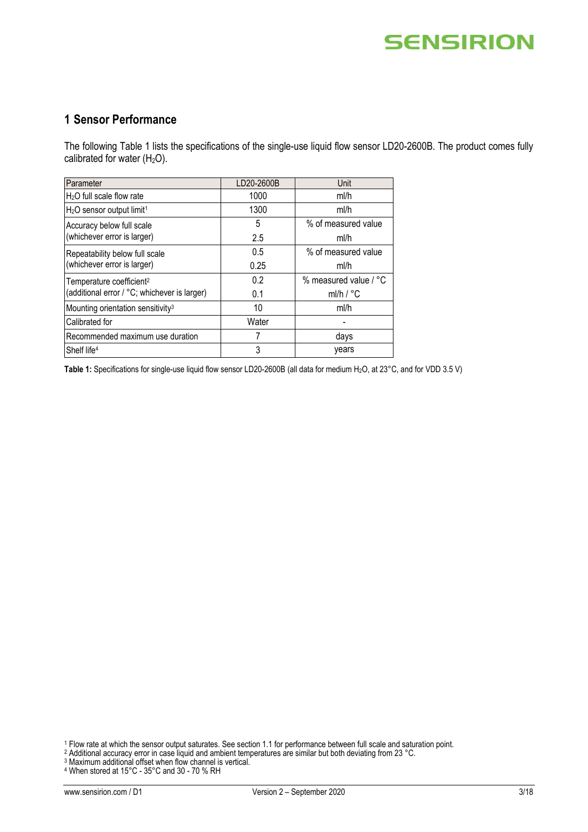### **1 Sensor Performance**

The following Table 1 lists the specifications of the single-use liquid flow sensor LD20-2600B. The product comes fully calibrated for water  $(H<sub>2</sub>O)$ .

| Parameter                                     | LD20-2600B | Unit                  |
|-----------------------------------------------|------------|-----------------------|
| $H2O$ full scale flow rate                    | 1000       | ml/h                  |
| $H2O$ sensor output limit <sup>1</sup>        | 1300       | ml/h                  |
| Accuracy below full scale                     | 5          | % of measured value   |
| (whichever error is larger)                   | 2.5        | ml/h                  |
| Repeatability below full scale                | 0.5        | % of measured value   |
| (whichever error is larger)                   | 0.25       | ml/h                  |
| Temperature coefficient <sup>2</sup>          | 0.2        | % measured value / °C |
| (additional error / °C; whichever is larger)  | 0.1        | ml/h $/$ °C           |
| Mounting orientation sensitivity <sup>3</sup> | 10         | ml/h                  |
| Calibrated for                                | Water      |                       |
| Recommended maximum use duration              |            | days                  |
| Shelf life <sup>4</sup>                       | 3          | years                 |

Table 1: Specifications for single-use liquid flow sensor LD20-2600B (all data for medium H<sub>2</sub>O, at 23°C, and for VDD 3.5 V)

<sup>1</sup> Flow rate at which the sensor output saturates. See sectio[n 1.1](#page-3-0) for performance between full scale and saturation point.

<sup>2</sup> Additional accuracy error in case liquid and ambient temperatures are similar but both deviating from 23 °C.

<sup>3</sup> Maximum additional offset when flow channel is vertical.

<sup>4</sup> When stored at 15°C - 35°C and 30 - 70 % RH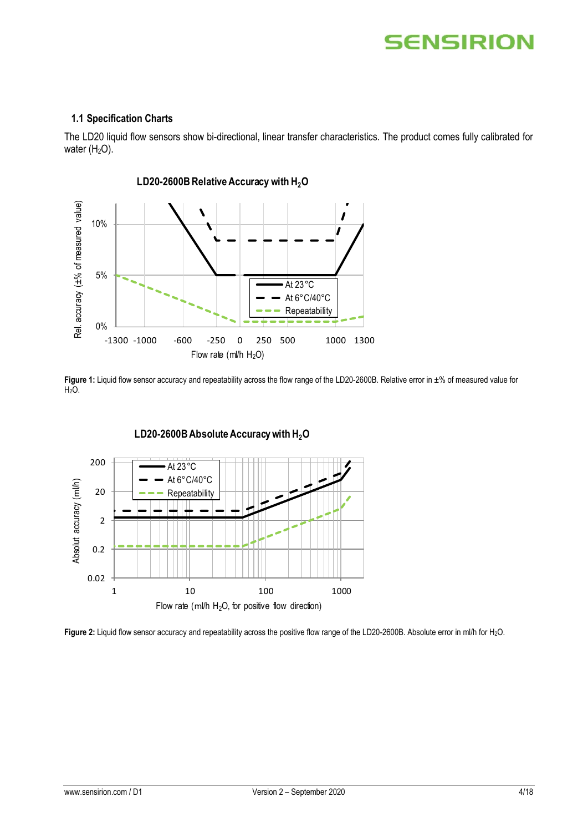#### <span id="page-3-0"></span>**1.1 Specification Charts**

The LD20 liquid flow sensors show bi-directional, linear transfer characteristics. The product comes fully calibrated for water  $(H<sub>2</sub>O)$ .



Figure 1: Liquid flow sensor accuracy and repeatability across the flow range of the LD20-2600B. Relative error in ±% of measured value for  $H<sub>2</sub>O$ .



**Figure 2:** Liquid flow sensor accuracy and repeatability across the positive flow range of the LD20-2600B. Absolute error in ml/h for H2O.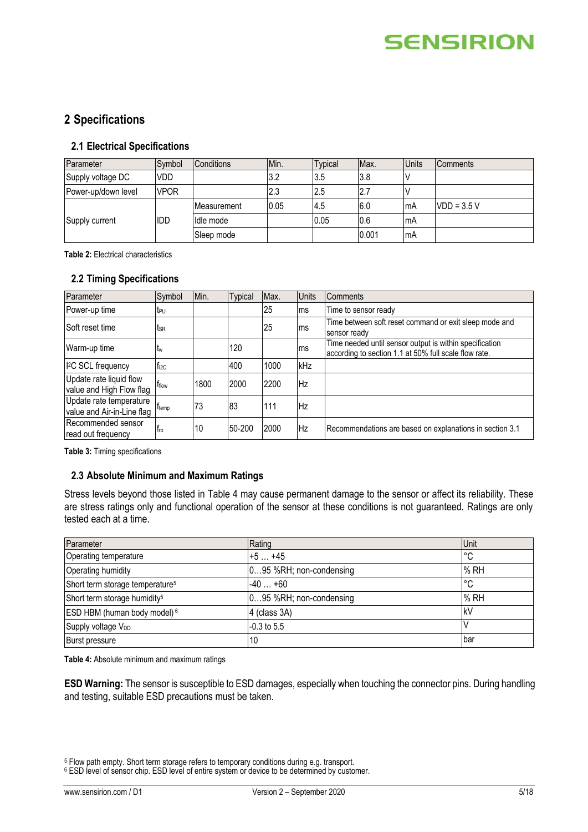### **2 Specifications**

#### **2.1 Electrical Specifications**

| Parameter           | Symbol      | <b>Conditions</b> | Min. | <b>Typical</b> | IMax. | <b>Units</b> | <b>Comments</b> |
|---------------------|-------------|-------------------|------|----------------|-------|--------------|-----------------|
| Supply voltage DC   | <b>VDD</b>  |                   | 3.2  | 3.5            | 3.8   |              |                 |
| Power-up/down level | <b>VPOR</b> |                   | 2.3  | 2.5            | 2.7   |              |                 |
| Supply current      |             | IMeasurement      | 0.05 | l4.5           | 6.0   | mA           | $VDD = 3.5 V$   |
|                     | IDD         | Idle mode         |      | 0.05           | 0.6   | mA           |                 |
|                     |             | Sleep mode        |      |                | 0.001 | 'mA          |                 |

**Table 2:** Electrical characteristics

#### **2.2 Timing Specifications**

| Parameter                                             | Symbol        | Min. | Typical | Max. | <b>Units</b> | <b>Comments</b>                                                                                                  |
|-------------------------------------------------------|---------------|------|---------|------|--------------|------------------------------------------------------------------------------------------------------------------|
| Power-up time                                         | tr∪           |      |         | 25   | ms           | Time to sensor ready                                                                                             |
| Soft reset time                                       | tsr           |      |         | 25   | ms           | Time between soft reset command or exit sleep mode and<br>sensor ready                                           |
| Warm-up time                                          | <b>Lw</b>     |      | 120     |      | ms           | Time needed until sensor output is within specification<br>according to section 1.1 at 50% full scale flow rate. |
| <sup>2</sup> C SCL frequency                          | $f_{12C}$     |      | 400     | 1000 | kHz          |                                                                                                                  |
| Update rate liquid flow<br>value and High Flow flag   | <b>T</b> flow | 1800 | 2000    | 2200 | Hz           |                                                                                                                  |
| Update rate temperature<br>value and Air-in-Line flag | Ttemp         | 73   | 83      | 111  | Hz           |                                                                                                                  |
| Recommended sensor<br>read out frequency              | <b>Tro</b>    | 10   | 50-200  | 2000 | Hz           | Recommendations are based on explanations in section 3.1                                                         |

<span id="page-4-1"></span>**Table 3:** Timing specifications

#### **2.3 Absolute Minimum and Maximum Ratings**

Stress levels beyond those listed in [Table 4](#page-4-0) may cause permanent damage to the sensor or affect its reliability. These are stress ratings only and functional operation of the sensor at these conditions is not guaranteed. Ratings are only tested each at a time.

| Parameter                                   | Rating                  | <b>Unit</b> |
|---------------------------------------------|-------------------------|-------------|
| Operating temperature                       | $+5+45$                 | I°С         |
| Operating humidity                          | 095 %RH; non-condensing | % RH        |
| Short term storage temperature <sup>5</sup> | $-40+60$                | I°С         |
| Short term storage humidity <sup>5</sup>    | 095 %RH; non-condensing | % RH        |
| ESD HBM (human body model) <sup>6</sup>     | 4 (class 3A)            | lkV         |
| Supply voltage V <sub>DD</sub>              | $-0.3$ to 5.5           |             |
| <b>Burst pressure</b>                       | 10                      | lbar        |

<span id="page-4-0"></span>**Table 4:** Absolute minimum and maximum ratings

**ESD Warning:** The sensor is susceptible to ESD damages, especially when touching the connector pins. During handling and testing, suitable ESD precautions must be taken.

<sup>5</sup> Flow path empty. Short term storage refers to temporary conditions during e.g. transport.

<sup>&</sup>lt;sup>6</sup> ESD level of sensor chip. ESD level of entire system or device to be determined by customer.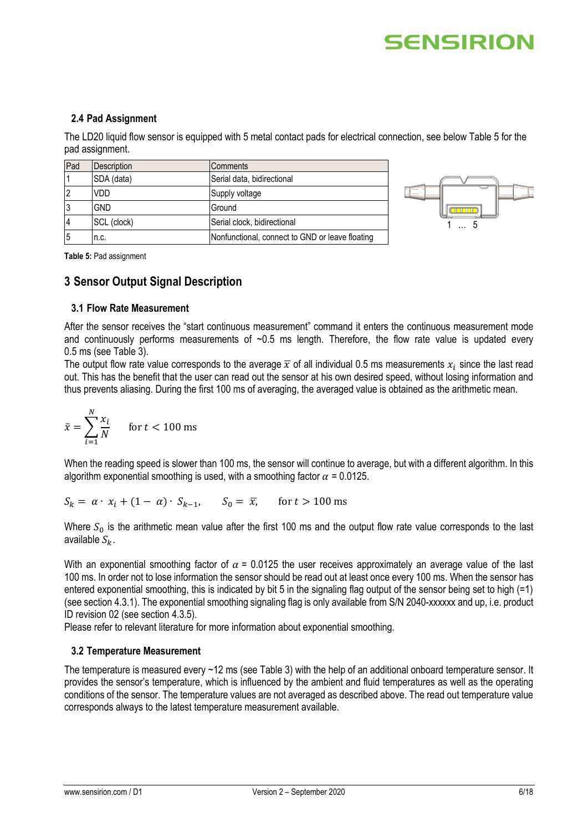# SENSIRIOI

#### **2.4 Pad Assignment**

The LD20 liquid flow sensor is equipped with 5 metal contact pads for electrical connection, see below [Table 5](#page-5-1) for the pad assignment.

| Pad            | Description | Comments                                        |
|----------------|-------------|-------------------------------------------------|
|                | SDA (data)  | Serial data, bidirectional                      |
| $\overline{2}$ | VDD         | Supply voltage                                  |
| l3             | <b>GND</b>  | Ground                                          |
| $\overline{4}$ | SCL (clock) | Serial clock, bidirectional                     |
| 5              | n.c.        | Nonfunctional, connect to GND or leave floating |



<span id="page-5-1"></span>**Table 5:** Pad assignment

#### <span id="page-5-2"></span>**3 Sensor Output Signal Description**

#### <span id="page-5-0"></span>**3.1 Flow Rate Measurement**

After the sensor receives the "start continuous measurement" command it enters the continuous measurement mode and continuously performs measurements of  $-0.5$  ms length. Therefore, the flow rate value is updated every 0.5 ms (see [Table 3\)](#page-4-1).

The output flow rate value corresponds to the average  $\overline{x}$  of all individual 0.5 ms measurements  $x_i$  since the last read out. This has the benefit that the user can read out the sensor at his own desired speed, without losing information and thus prevents aliasing. During the first 100 ms of averaging, the averaged value is obtained as the arithmetic mean.

$$
\bar{x} = \sum_{i=1}^{N} \frac{x_i}{N} \quad \text{for } t < 100 \text{ ms}
$$

When the reading speed is slower than 100 ms, the sensor will continue to average, but with a different algorithm. In this algorithm exponential smoothing is used, with a smoothing factor  $\alpha$  = 0.0125.

 $S_k = \alpha \cdot x_i + (1 - \alpha) \cdot S_{k-1}, \quad S_0 = \overline{x}$ , for  $t > 100$  ms

Where  $S_0$  is the arithmetic mean value after the first 100 ms and the output flow rate value corresponds to the last available  $S_k$ .

With an exponential smoothing factor of  $\alpha$  = 0.0125 the user receives approximately an average value of the last 100 ms. In order not to lose information the sensor should be read out at least once every 100 ms. When the sensor has entered exponential smoothing, this is indicated by bit 5 in the signaling flag output of the sensor being set to high (=1) (see section [4.3.1\)](#page-10-0). The exponential smoothing signaling flag is only available from S/N 2040-xxxxxx and up, i.e. product ID revision 02 (see section [4.3.5\)](#page-12-0).

Please refer to relevant literature for more information about exponential smoothing.

#### **3.2 Temperature Measurement**

The temperature is measured every ~12 ms (see [Table 3\)](#page-4-1) with the help of an additional onboard temperature sensor. It provides the sensor's temperature, which is influenced by the ambient and fluid temperatures as well as the operating conditions of the sensor. The temperature values are not averaged as described above. The read out temperature value corresponds always to the latest temperature measurement available.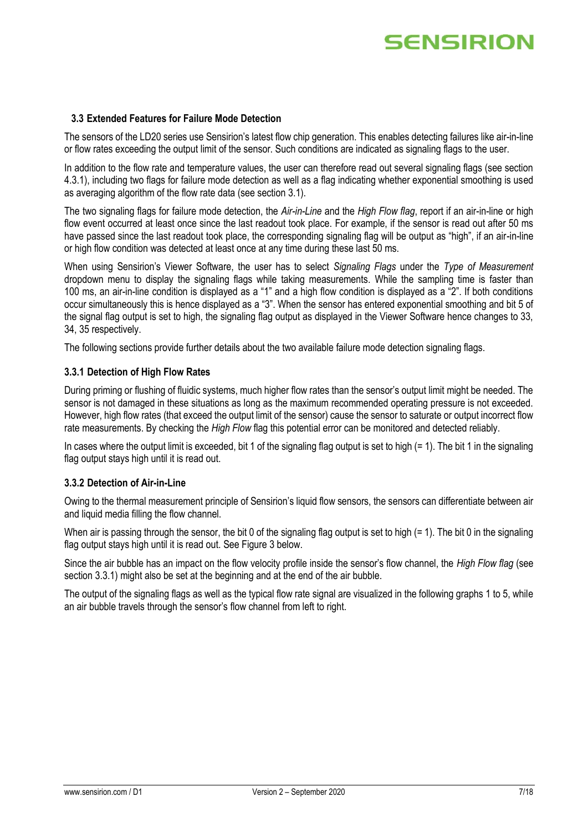#### **3.3 Extended Features for Failure Mode Detection**

The sensors of the LD20 series use Sensirion's latest flow chip generation. This enables detecting failures like air-in-line or flow rates exceeding the output limit of the sensor. Such conditions are indicated as signaling flags to the user.

In addition to the flow rate and temperature values, the user can therefore read out several signaling flags (see section [4.3.1\)](#page-10-0), including two flags for failure mode detection as well as a flag indicating whether exponential smoothing is used as averaging algorithm of the flow rate data (see section [3.1\)](#page-5-0).

The two signaling flags for failure mode detection, the *Air-in-Line* and the *High Flow flag*, report if an air-in-line or high flow event occurred at least once since the last readout took place. For example, if the sensor is read out after 50 ms have passed since the last readout took place, the corresponding signaling flag will be output as "high", if an air-in-line or high flow condition was detected at least once at any time during these last 50 ms.

When using Sensirion's Viewer Software, the user has to select *Signaling Flags* under the *Type of Measurement* dropdown menu to display the signaling flags while taking measurements. While the sampling time is faster than 100 ms, an air-in-line condition is displayed as a "1" and a high flow condition is displayed as a "2". If both conditions occur simultaneously this is hence displayed as a "3". When the sensor has entered exponential smoothing and bit 5 of the signal flag output is set to high, the signaling flag output as displayed in the Viewer Software hence changes to 33, 34, 35 respectively.

The following sections provide further details about the two available failure mode detection signaling flags.

#### <span id="page-6-0"></span>**3.3.1 Detection of High Flow Rates**

During priming or flushing of fluidic systems, much higher flow rates than the sensor's output limit might be needed. The sensor is not damaged in these situations as long as the maximum recommended operating pressure is not exceeded. However, high flow rates (that exceed the output limit of the sensor) cause the sensor to saturate or output incorrect flow rate measurements. By checking the *High Flow* flag this potential error can be monitored and detected reliably.

In cases where the output limit is exceeded, bit 1 of the signaling flag output is set to high (= 1). The bit 1 in the signaling flag output stays high until it is read out.

#### **3.3.2 Detection of Air-in-Line**

Owing to the thermal measurement principle of Sensirion's liquid flow sensors, the sensors can differentiate between air and liquid media filling the flow channel.

When air is passing through the sensor, the bit 0 of the signaling flag output is set to high (= 1). The bit 0 in the signaling flag output stays high until it is read out. See [Figure](#page-7-0) 3 below.

Since the air bubble has an impact on the flow velocity profile inside the sensor's flow channel, the *High Flow flag* (see section [3.3.1\)](#page-6-0) might also be set at the beginning and at the end of the air bubble.

The output of the signaling flags as well as the typical flow rate signal are visualized in the following graphs 1 to 5, while an air bubble travels through the sensor's flow channel from left to right.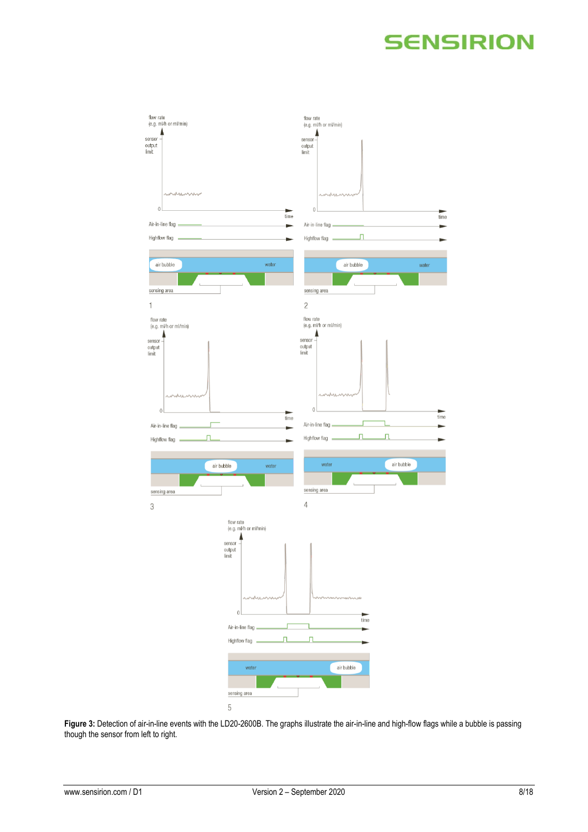

<span id="page-7-0"></span>**Figure 3:** Detection of air-in-line events with the LD20-2600B. The graphs illustrate the air-in-line and high-flow flags while a bubble is passing though the sensor from left to right.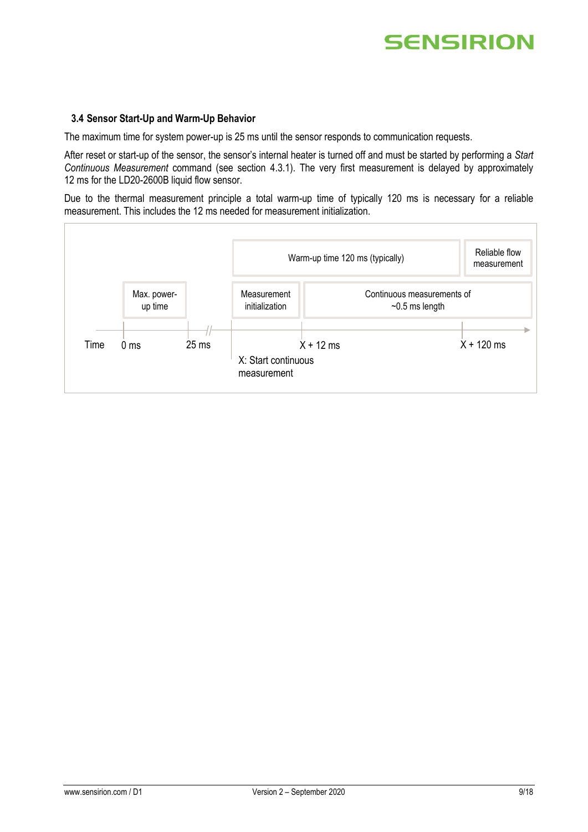#### <span id="page-8-0"></span>**3.4 Sensor Start-Up and Warm-Up Behavior**

The maximum time for system power-up is 25 ms until the sensor responds to communication requests.

After reset or start-up of the sensor, the sensor's internal heater is turned off and must be started by performing a *Start Continuous Measurement* command (see section [4.3.1\)](#page-10-0). The very first measurement is delayed by approximately 12 ms for the LD20-2600B liquid flow sensor.

Due to the thermal measurement principle a total warm-up time of typically 120 ms is necessary for a reliable measurement. This includes the 12 ms needed for measurement initialization.

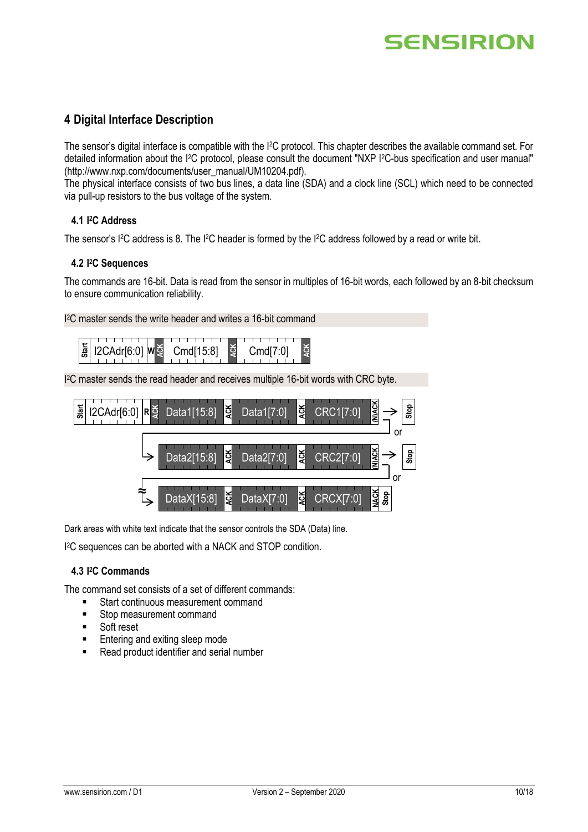### **4 Digital Interface Description**

The sensor's digital interface is compatible with the I2C protocol. This chapter describes the available command set. For detailed information about the I<sup>2</sup>C protocol, please consult the document "NXP I<sup>2</sup>C-bus specification and user manual" [\(http://www.nxp.com/documents/user\\_manual/UM10204.pdf\)](http://www.nxp.com/documents/user_manual/UM10204.pdf).

The physical interface consists of two bus lines, a data line (SDA) and a clock line (SCL) which need to be connected via pull-up resistors to the bus voltage of the system.

#### **4.1 I <sup>2</sup>C Address**

The sensor's I<sup>2</sup>C address is 8. The I<sup>2</sup>C header is formed by the I<sup>2</sup>C address followed by a read or write bit.

#### **4.2 I <sup>2</sup>C Sequences**

The commands are 16-bit. Data is read from the sensor in multiples of 16-bit words, each followed by an 8-bit checksum to ensure communication reliability.

I <sup>2</sup>C master sends the write header and writes a 16-bit command



I <sup>2</sup>C master sends the read header and receives multiple 16-bit words with CRC byte.



Dark areas with white text indicate that the sensor controls the SDA (Data) line.

I <sup>2</sup>C sequences can be aborted with a NACK and STOP condition.

#### **4.3 I <sup>2</sup>C Commands**

The command set consists of a set of different commands:

- Start continuous measurement command
- Stop measurement command
- **Soft reset**
- **Entering and exiting sleep mode**
-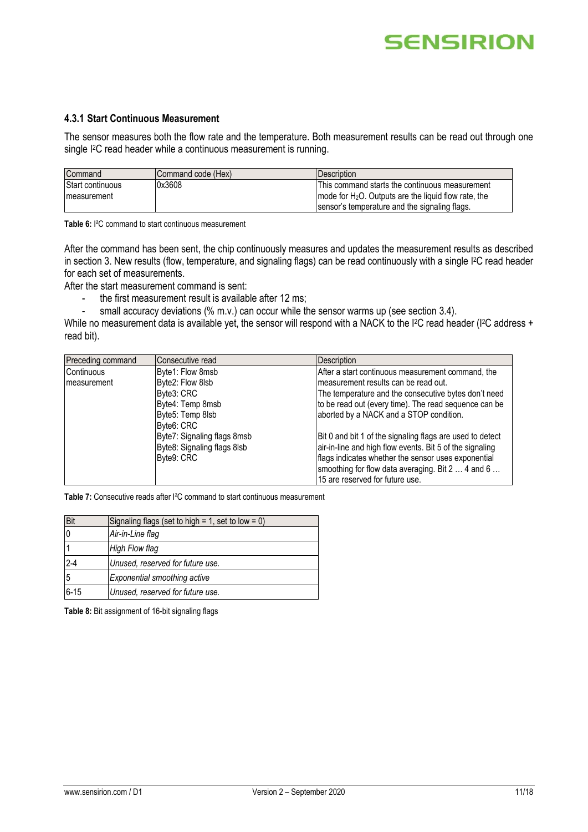#### <span id="page-10-0"></span>**4.3.1 Start Continuous Measurement**

The sensor measures both the flow rate and the temperature. Both measurement results can be read out through one single I<sup>2</sup>C read header while a continuous measurement is running.

| Command          | <b>ICommand code (Hex)</b> | <b>IDescription</b>                                                             |
|------------------|----------------------------|---------------------------------------------------------------------------------|
| Start continuous | 0x3608                     | <b>IThis command starts the continuous measurement</b>                          |
| Imeasurement     |                            | $\blacksquare$ mode for H <sub>2</sub> O. Outputs are the liquid flow rate, the |
|                  |                            | Isensor's temperature and the signaling flags.                                  |

**Table 6:** I²C command to start continuous measurement

After the command has been sent, the chip continuously measures and updates the measurement results as described in sectio[n 3.](#page-5-2) New results (flow, temperature, and signaling flags) can be read continuously with a single I<sup>2</sup>C read header for each set of measurements.

After the start measurement command is sent:

- the first measurement result is available after 12 ms;
- small accuracy deviations (% m.v.) can occur while the sensor warms up (see sectio[n 3.4\)](#page-8-0).

While no measurement data is available yet, the sensor will respond with a NACK to the I<sup>2</sup>C read header (I<sup>2</sup>C address + read bit).

| Preceding command   | Consecutive read            | <b>Description</b>                                        |
|---------------------|-----------------------------|-----------------------------------------------------------|
| Continuous          | Byte1: Flow 8msb            | After a start continuous measurement command, the         |
| <b>Imeasurement</b> | Byte2: Flow 8lsb            | Imeasurement results can be read out.                     |
|                     | Bvte3: CRC                  | The temperature and the consecutive bytes don't need      |
|                     | Byte4: Temp 8msb            | to be read out (every time). The read sequence can be     |
|                     | Byte5: Temp 8lsb            | aborted by a NACK and a STOP condition.                   |
|                     | IBvte6: CRC                 |                                                           |
|                     | Byte7: Signaling flags 8msb | Bit 0 and bit 1 of the signaling flags are used to detect |
|                     | Byte8: Signaling flags 8lsb | air-in-line and high flow events. Bit 5 of the signaling  |
|                     | Byte9: CRC                  | flags indicates whether the sensor uses exponential       |
|                     |                             | smoothing for flow data averaging. Bit 2  4 and 6         |
|                     |                             | 15 are reserved for future use.                           |

**Table 7:** Consecutive reads after I²C command to start continuous measurement

| Bit      | Signaling flags (set to high = 1, set to low = 0) |
|----------|---------------------------------------------------|
|          | Air-in-Line flag                                  |
|          | High Flow flag                                    |
| $2-4$    | Unused, reserved for future use.                  |
| 5        | Exponential smoothing active                      |
| $6 - 15$ | Unused, reserved for future use.                  |

**Table 8:** Bit assignment of 16-bit signaling flags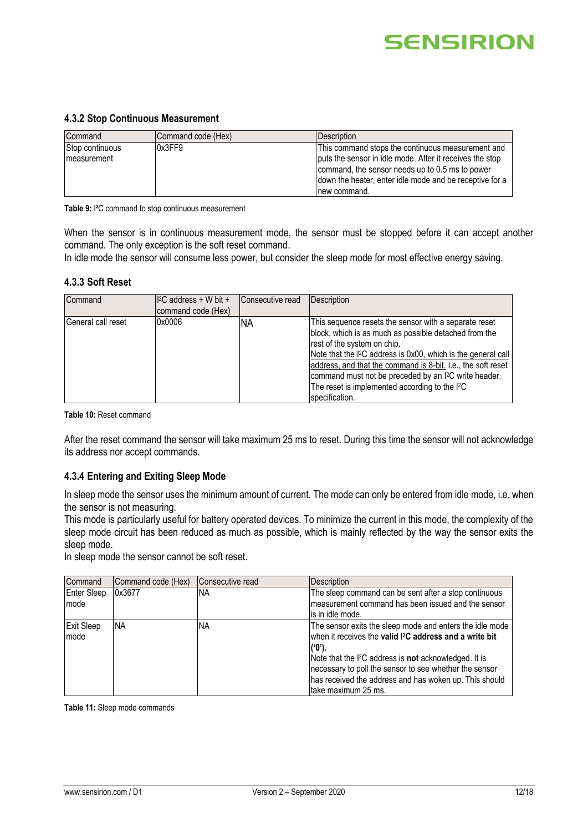#### **4.3.2 Stop Continuous Measurement**

| Command         | Command code (Hex) | <b>IDescription</b>                                      |
|-----------------|--------------------|----------------------------------------------------------|
| Stop continuous | 0x3FF9             | This command stops the continuous measurement and        |
| Imeasurement    |                    | puts the sensor in idle mode. After it receives the stop |
|                 |                    | command, the sensor needs up to 0.5 ms to power          |
|                 |                    | down the heater, enter idle mode and be receptive for a  |
|                 |                    | Inew command.                                            |

**Table 9:** I²C command to stop continuous measurement

When the sensor is in continuous measurement mode, the sensor must be stopped before it can accept another command. The only exception is the soft reset command.

In idle mode the sensor will consume less power, but consider the sleep mode for most effective energy saving.

#### **4.3.3 Soft Reset**

| Command            | $\mathsf{II}^2\mathsf{C}$ address + W bit +<br>command code (Hex) | Consecutive read | Description                                                                                                                                                                                                                                                                                                                                                                                                                                     |
|--------------------|-------------------------------------------------------------------|------------------|-------------------------------------------------------------------------------------------------------------------------------------------------------------------------------------------------------------------------------------------------------------------------------------------------------------------------------------------------------------------------------------------------------------------------------------------------|
| General call reset | 0x0006                                                            | ΝA               | This sequence resets the sensor with a separate reset<br>block, which is as much as possible detached from the<br>rest of the system on chip.<br>Note that the I <sup>2</sup> C address is 0x00, which is the general call<br>address, and that the command is 8-bit. I.e., the soft reset<br>command must not be preceded by an I <sup>2</sup> C write header.<br>The reset is implemented according to the I <sup>2</sup> C<br>specification. |

**Table 10:** Reset command

After the reset command the sensor will take maximum 25 ms to reset. During this time the sensor will not acknowledge its address nor accept commands.

#### **4.3.4 Entering and Exiting Sleep Mode**

In sleep mode the sensor uses the minimum amount of current. The mode can only be entered from idle mode, i.e. when the sensor is not measuring.

This mode is particularly useful for battery operated devices. To minimize the current in this mode, the complexity of the sleep mode circuit has been reduced as much as possible, which is mainly reflected by the way the sensor exits the sleep mode.

In sleep mode the sensor cannot be soft reset.

| Command                   | Command code (Hex) | Consecutive read | Description                                                                                                                                                                                                                                                                                                                                                        |
|---------------------------|--------------------|------------------|--------------------------------------------------------------------------------------------------------------------------------------------------------------------------------------------------------------------------------------------------------------------------------------------------------------------------------------------------------------------|
| Enter Sleep<br>mode       | 0x3677             | NА               | The sleep command can be sent after a stop continuous<br>measurement command has been issued and the sensor<br>lis in idle mode.                                                                                                                                                                                                                                   |
| <b>Exit Sleep</b><br>mode | <b>NA</b>          | ΝA               | The sensor exits the sleep mode and enters the idle mode<br>when it receives the valid I <sup>2</sup> C address and a write bit<br>l('0').<br>Note that the I <sup>2</sup> C address is <b>not</b> acknowledged. It is<br>necessary to poll the sensor to see whether the sensor<br>has received the address and has woken up. This should<br>Itake maximum 25 ms. |

**Table 11:** Sleep mode commands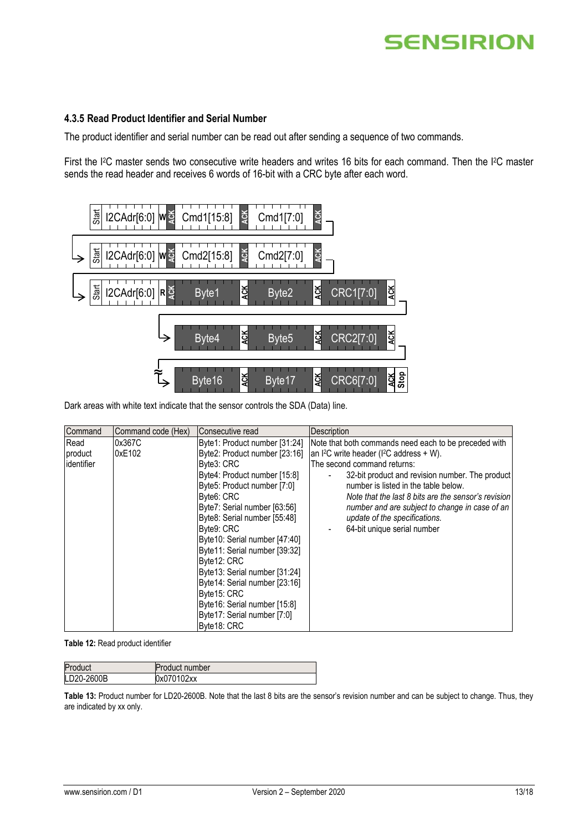#### <span id="page-12-0"></span>**4.3.5 Read Product Identifier and Serial Number**

The product identifier and serial number can be read out after sending a sequence of two commands.

First the I<sup>2</sup>C master sends two consecutive write headers and writes 16 bits for each command. Then the I<sup>2</sup>C master sends the read header and receives 6 words of 16-bit with a CRC byte after each word.



Dark areas with white text indicate that the sensor controls the SDA (Data) line.

| Command           | Command code (Hex) | IConsecutive read             | <b>Description</b>                                    |
|-------------------|--------------------|-------------------------------|-------------------------------------------------------|
| Read              | 0x367C             | Byte1: Product number [31:24] | Note that both commands need each to be preceded with |
| product           | 0xE102             | Byte2: Product number [23:16] | an $l^2C$ write header ( $l^2C$ address + W).         |
| <b>identifier</b> |                    | Byte3: CRC                    | The second command returns:                           |
|                   |                    | Byte4: Product number [15:8]  | 32-bit product and revision number. The product       |
|                   |                    | Byte5: Product number [7:0]   | number is listed in the table below.                  |
|                   |                    | Byte6: CRC                    | Note that the last 8 bits are the sensor's revision   |
|                   |                    | Byte7: Serial number [63:56]  | number and are subject to change in case of an        |
|                   |                    | Byte8: Serial number [55:48]  | update of the specifications.                         |
|                   |                    | Byte9: CRC                    | 64-bit unique serial number                           |
|                   |                    | Byte10: Serial number [47:40] |                                                       |
|                   |                    | Byte11: Serial number [39:32] |                                                       |
|                   |                    | Byte12: CRC                   |                                                       |
|                   |                    | Byte13: Serial number [31:24] |                                                       |
|                   |                    | Byte14: Serial number [23:16] |                                                       |
|                   |                    | Byte15: CRC                   |                                                       |
|                   |                    | Byte16: Serial number [15:8]  |                                                       |
|                   |                    | Byte17: Serial number [7:0]   |                                                       |
|                   |                    | Byte18: CRC                   |                                                       |

**Table 12:** Read product identifier

| Product    | <b>Product number</b> |
|------------|-----------------------|
| LD20-2600B | 0x070102xx            |

**Table 13:** Product number for LD20-2600B. Note that the last 8 bits are the sensor's revision number and can be subject to change. Thus, they are indicated by xx only.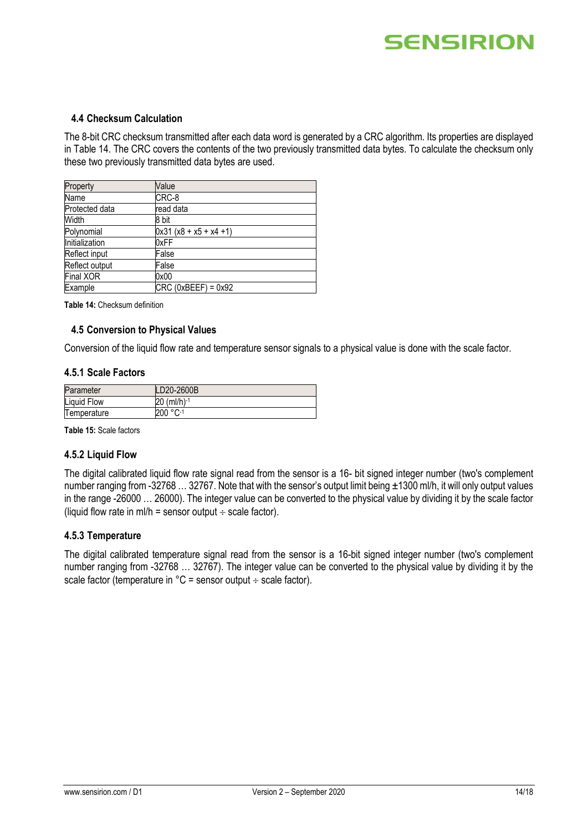#### **4.4 Checksum Calculation**

The 8-bit CRC checksum transmitted after each data word is generated by a CRC algorithm. Its properties are displayed i[n Table 14.](#page-13-0) The CRC covers the contents of the two previously transmitted data bytes. To calculate the checksum only these two previously transmitted data bytes are used.

| Property         | Value                     |
|------------------|---------------------------|
| Name             | CRC-8                     |
| Protected data   | read data                 |
| Width            | 8 bit                     |
| Polynomial       | $0x31 (x8 + x5 + x4 + 1)$ |
| Initialization   | 0xFF                      |
| Reflect input    | False                     |
| Reflect output   | False                     |
| <b>Final XOR</b> | 0x00                      |
| Example          | $CRC (0xBEEF) = 0x92$     |

<span id="page-13-0"></span>**Table 14:** Checksum definition

#### **4.5 Conversion to Physical Values**

Conversion of the liquid flow rate and temperature sensor signals to a physical value is done with the scale factor.

#### **4.5.1 Scale Factors**

| Parameter          | LD20-2600B  |
|--------------------|-------------|
| <b>Liquid Flow</b> | 20 (ml/h)-1 |
| Temperature        | 200 °C-1    |

**Table 15:** Scale factors

#### **4.5.2 Liquid Flow**

The digital calibrated liquid flow rate signal read from the sensor is a 16- bit signed integer number (two's complement number ranging from -32768 ... 32767. Note that with the sensor's output limit being ±1300 ml/h, it will only output values in the range -26000 … 26000). The integer value can be converted to the physical value by dividing it by the scale factor (liquid flow rate in ml/h = sensor output  $\div$  scale factor).

#### **4.5.3 Temperature**

The digital calibrated temperature signal read from the sensor is a 16-bit signed integer number (two's complement number ranging from -32768 … 32767). The integer value can be converted to the physical value by dividing it by the scale factor (temperature in  $°C =$  sensor output  $\div$  scale factor).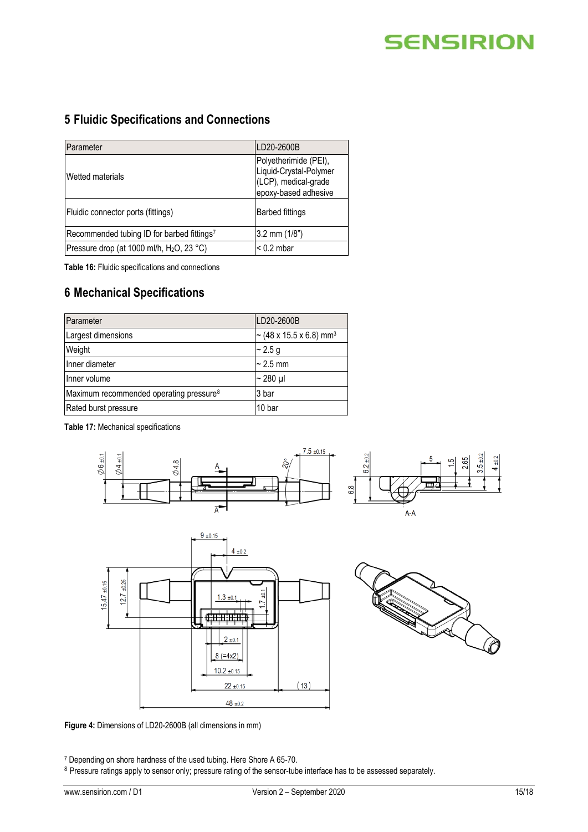### **5 Fluidic Specifications and Connections**

| Parameter                                              | LD20-2600B                                                                                      |
|--------------------------------------------------------|-------------------------------------------------------------------------------------------------|
| Wetted materials                                       | Polyetherimide (PEI),<br>Liquid-Crystal-Polymer<br>(LCP), medical-grade<br>epoxy-based adhesive |
| Fluidic connector ports (fittings)                     | <b>Barbed fittings</b>                                                                          |
| Recommended tubing ID for barbed fittings <sup>7</sup> | 3.2 mm $(1/8")$                                                                                 |
| Pressure drop (at 1000 ml/h, H <sub>2</sub> O, 23 °C)  | $< 0.2$ mbar                                                                                    |

**Table 16:** Fluidic specifications and connections

### **6 Mechanical Specifications**

| Parameter                                           | LD20-2600B                          |
|-----------------------------------------------------|-------------------------------------|
| Largest dimensions                                  | ~ (48 x 15.5 x 6.8) mm <sup>3</sup> |
| Weight                                              | $\sim$ 2.5 g                        |
| Inner diameter                                      | $\sim$ 2.5 mm                       |
| Inner volume                                        | $\sim$ 280 µl                       |
| Maximum recommended operating pressure <sup>8</sup> | 3 bar                               |
| Rated burst pressure                                | 10 bar                              |

**Table 17:** Mechanical specifications







**Figure 4:** Dimensions of LD20-2600B (all dimensions in mm)

<sup>7</sup> Depending on shore hardness of the used tubing. Here Shore A 65-70.

8 Pressure ratings apply to sensor only; pressure rating of the sensor-tube interface has to be assessed separately.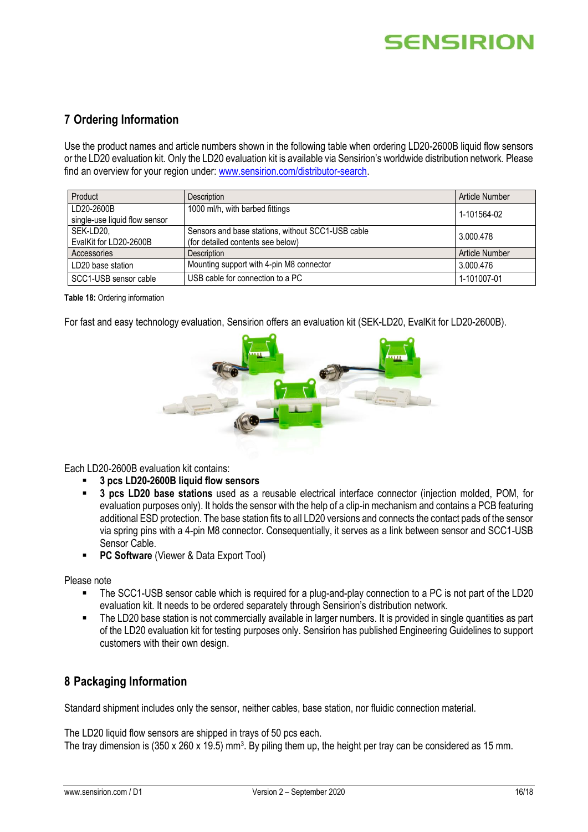### **7 Ordering Information**

Use the product names and article numbers shown in the following table when ordering LD20-2600B liquid flow sensors or the LD20 evaluation kit. Only the LD20 evaluation kit is available via Sensirion's worldwide distribution network. Please find an overview for your region under: [www.sensirion.com/distributor-search.](www.sensirion.com/distributor-search)

| Product                       | Description                                       | Article Number |  |
|-------------------------------|---------------------------------------------------|----------------|--|
| LD20-2600B                    | 1000 ml/h, with barbed fittings                   | 1-101564-02    |  |
| single-use liquid flow sensor |                                                   |                |  |
| SEK-LD20.                     | Sensors and base stations, without SCC1-USB cable | 3.000.478      |  |
| EvalKit for LD20-2600B        | (for detailed contents see below)                 |                |  |
| Accessories                   | <b>Description</b>                                | Article Number |  |
| LD20 base station             | Mounting support with 4-pin M8 connector          | 3.000.476      |  |
| SCC1-USB sensor cable         | USB cable for connection to a PC                  | 1-101007-01    |  |

#### **Table 18:** Ordering information

For fast and easy technology evaluation, Sensirion offers an evaluation kit (SEK-LD20, EvalKit for LD20-2600B).



Each LD20-2600B evaluation kit contains:

- **3 pcs LD20-2600B liquid flow sensors**
- **3 pcs LD20 base stations** used as a reusable electrical interface connector (injection molded, POM, for evaluation purposes only). It holds the sensor with the help of a clip-in mechanism and contains a PCB featuring additional ESD protection. The base station fits to all LD20 versions and connects the contact pads of the sensor via spring pins with a 4-pin M8 connector. Consequentially, it serves as a link between sensor and SCC1-USB Sensor Cable.
- **PC Software** (Viewer & Data Export Tool)

Please note

- The SCC1-USB sensor cable which is required for a plug-and-play connection to a PC is not part of the LD20 evaluation kit. It needs to be ordered separately through Sensirion's distribution network.
- The LD20 base station is not commercially available in larger numbers. It is provided in single quantities as part of the LD20 evaluation kit for testing purposes only. Sensirion has published Engineering Guidelines to support customers with their own design.

### **8 Packaging Information**

Standard shipment includes only the sensor, neither cables, base station, nor fluidic connection material.

The LD20 liquid flow sensors are shipped in trays of 50 pcs each.

The tray dimension is (350 x 260 x 19.5) mm<sup>3</sup>. By piling them up, the height per tray can be considered as 15 mm.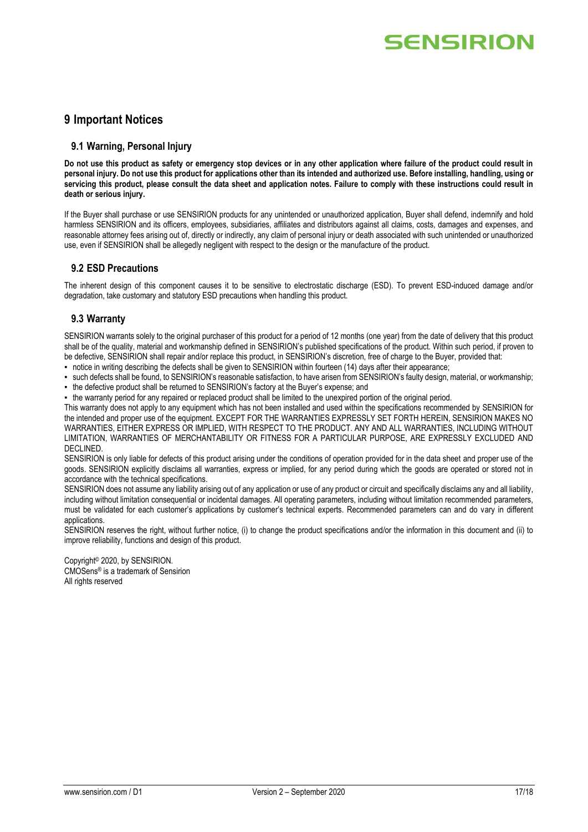### **9 Important Notices**

#### **9.1 Warning, Personal Injury**

**Do not use this product as safety or emergency stop devices or in any other application where failure of the product could result in personal injury. Do not use this product for applications other than its intended and authorized use. Before installing, handling, using or servicing this product, please consult the data sheet and application notes. Failure to comply with these instructions could result in death or serious injury.**

If the Buyer shall purchase or use SENSIRION products for any unintended or unauthorized application, Buyer shall defend, indemnify and hold harmless SENSIRION and its officers, employees, subsidiaries, affiliates and distributors against all claims, costs, damages and expenses, and reasonable attorney fees arising out of, directly or indirectly, any claim of personal injury or death associated with such unintended or unauthorized use, even if SENSIRION shall be allegedly negligent with respect to the design or the manufacture of the product.

#### **9.2 ESD Precautions**

The inherent design of this component causes it to be sensitive to electrostatic discharge (ESD). To prevent ESD-induced damage and/or degradation, take customary and statutory ESD precautions when handling this product.

#### **9.3 Warranty**

SENSIRION warrants solely to the original purchaser of this product for a period of 12 months (one year) from the date of delivery that this product shall be of the quality, material and workmanship defined in SENSIRION's published specifications of the product. Within such period, if proven to be defective, SENSIRION shall repair and/or replace this product, in SENSIRION's discretion, free of charge to the Buyer, provided that:

▪ notice in writing describing the defects shall be given to SENSIRION within fourteen (14) days after their appearance;

▪ such defects shall be found, to SENSIRION's reasonable satisfaction, to have arisen from SENSIRION's faulty design, material, or workmanship;

▪ the defective product shall be returned to SENSIRION's factory at the Buyer's expense; and

▪ the warranty period for any repaired or replaced product shall be limited to the unexpired portion of the original period.

This warranty does not apply to any equipment which has not been installed and used within the specifications recommended by SENSIRION for the intended and proper use of the equipment. EXCEPT FOR THE WARRANTIES EXPRESSLY SET FORTH HEREIN, SENSIRION MAKES NO WARRANTIES, EITHER EXPRESS OR IMPLIED, WITH RESPECT TO THE PRODUCT. ANY AND ALL WARRANTIES, INCLUDING WITHOUT LIMITATION, WARRANTIES OF MERCHANTABILITY OR FITNESS FOR A PARTICULAR PURPOSE, ARE EXPRESSLY EXCLUDED AND DECLINED.

SENSIRION is only liable for defects of this product arising under the conditions of operation provided for in the data sheet and proper use of the goods. SENSIRION explicitly disclaims all warranties, express or implied, for any period during which the goods are operated or stored not in accordance with the technical specifications.

SENSIRION does not assume any liability arising out of any application or use of any product or circuit and specifically disclaims any and all liability, including without limitation consequential or incidental damages. All operating parameters, including without limitation recommended parameters, must be validated for each customer's applications by customer's technical experts. Recommended parameters can and do vary in different applications.

SENSIRION reserves the right, without further notice, (i) to change the product specifications and/or the information in this document and (ii) to improve reliability, functions and design of this product.

Copyright© 2020, by SENSIRION. CMOSens® is a trademark of Sensirion All rights reserved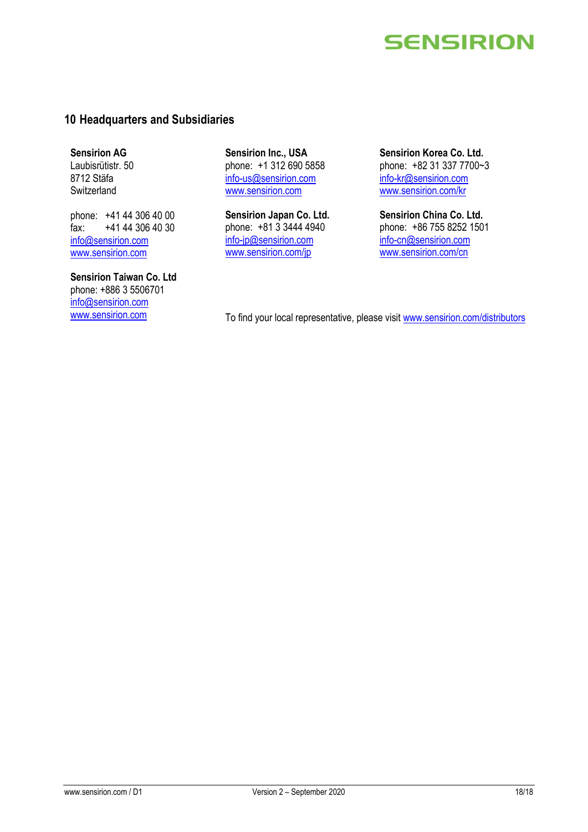### **10 Headquarters and Subsidiaries**

**Sensirion AG** Laubisrütistr. 50 8712 Stäfa **Switzerland** 

phone: +41 44 306 40 00 fax: +41 44 306 40 30 info@sensirion.com www.sensirion.com

**Sensirion Taiwan Co. Ltd** phone: +886 3 5506701 info@sensirion.com

**Sensirion Inc., USA** phone: +1 312 690 5858 info-us@sensirion.com www.sensirion.com

**Sensirion Japan Co. Ltd.** phone: +81 3 3444 4940 info-jp@sensirion.com www.sensirion.com/jp

**Sensirion Korea Co. Ltd.** phone: +82 31 337 7700~3 info-kr@sensirion.com www.sensirion.com/kr

**Sensirion China Co. Ltd.** phone: +86 755 8252 1501 info-cn@sensirion.com www.sensirion.com/cn

www.sensirion.com To find your local representative, please visit www.sensirion.com/distributors